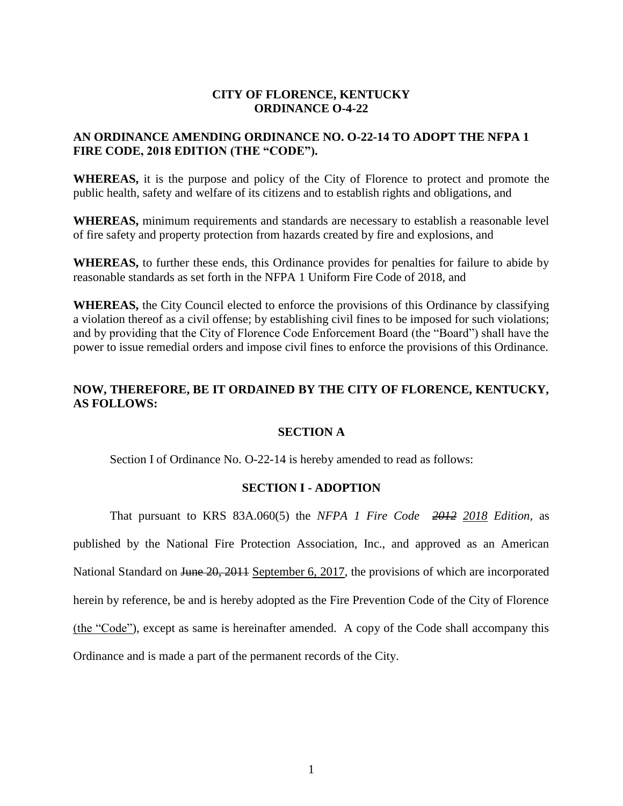### **CITY OF FLORENCE, KENTUCKY ORDINANCE O-4-22**

### **AN ORDINANCE AMENDING ORDINANCE NO. O-22-14 TO ADOPT THE NFPA 1 FIRE CODE, 2018 EDITION (THE "CODE").**

**WHEREAS,** it is the purpose and policy of the City of Florence to protect and promote the public health, safety and welfare of its citizens and to establish rights and obligations, and

**WHEREAS,** minimum requirements and standards are necessary to establish a reasonable level of fire safety and property protection from hazards created by fire and explosions, and

**WHEREAS,** to further these ends, this Ordinance provides for penalties for failure to abide by reasonable standards as set forth in the NFPA 1 Uniform Fire Code of 2018, and

**WHEREAS,** the City Council elected to enforce the provisions of this Ordinance by classifying a violation thereof as a civil offense; by establishing civil fines to be imposed for such violations; and by providing that the City of Florence Code Enforcement Board (the "Board") shall have the power to issue remedial orders and impose civil fines to enforce the provisions of this Ordinance.

## **NOW, THEREFORE, BE IT ORDAINED BY THE CITY OF FLORENCE, KENTUCKY, AS FOLLOWS:**

### **SECTION A**

Section I of Ordinance No. O-22-14 is hereby amended to read as follows:

### **SECTION I - ADOPTION**

That pursuant to KRS 83A.060(5) the *NFPA 1 Fire Code 2012 2018 Edition,* as published by the National Fire Protection Association, Inc., and approved as an American National Standard on <del>June 20, 2011</del> September 6, 2017, the provisions of which are incorporated herein by reference, be and is hereby adopted as the Fire Prevention Code of the City of Florence (the "Code"), except as same is hereinafter amended. A copy of the Code shall accompany this Ordinance and is made a part of the permanent records of the City.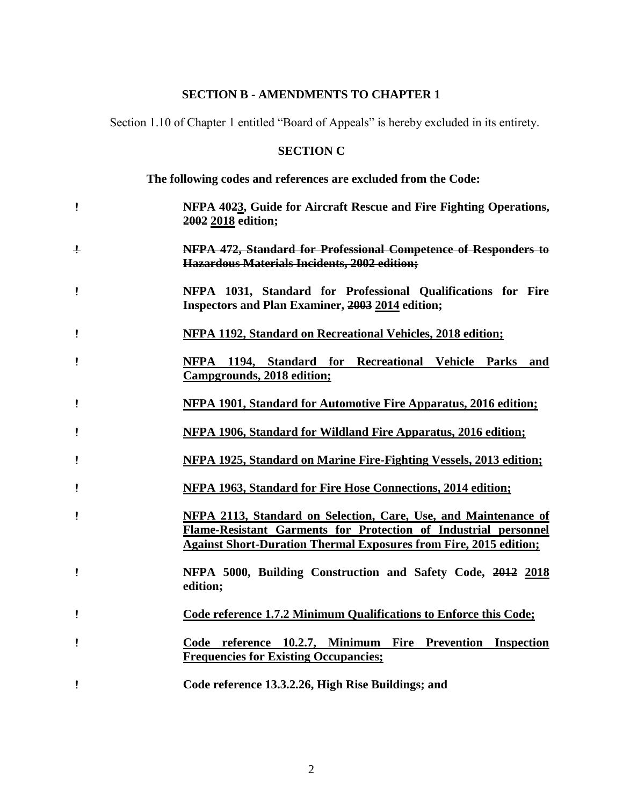## **SECTION B - AMENDMENTS TO CHAPTER 1**

Section 1.10 of Chapter 1 entitled "Board of Appeals" is hereby excluded in its entirety.

# **SECTION C**

**The following codes and references are excluded from the Code:**

| Ţ            | NFPA 4023, Guide for Aircraft Rescue and Fire Fighting Operations,<br>2002 2018 edition;                                                                                                                              |
|--------------|-----------------------------------------------------------------------------------------------------------------------------------------------------------------------------------------------------------------------|
| $\ddagger$   | NFPA 472, Standard for Professional Competence of Responders to<br>Hazardous Materials Incidents, 2002 edition;                                                                                                       |
| Ţ            | NFPA 1031, Standard for Professional Qualifications for Fire<br><b>Inspectors and Plan Examiner, 2003 2014 edition;</b>                                                                                               |
| Ţ            | <b>NFPA 1192, Standard on Recreational Vehicles, 2018 edition;</b>                                                                                                                                                    |
| Ţ            | NFPA 1194, Standard for Recreational Vehicle Parks and<br>Campgrounds, 2018 edition;                                                                                                                                  |
| $\mathbf{I}$ | NFPA 1901, Standard for Automotive Fire Apparatus, 2016 edition;                                                                                                                                                      |
| Ţ            | NFPA 1906, Standard for Wildland Fire Apparatus, 2016 edition;                                                                                                                                                        |
| Ţ            | NFPA 1925, Standard on Marine Fire-Fighting Vessels, 2013 edition;                                                                                                                                                    |
| ï            | <b>NFPA 1963, Standard for Fire Hose Connections, 2014 edition;</b>                                                                                                                                                   |
| İ            | <b>NFPA 2113, Standard on Selection, Care, Use, and Maintenance of</b><br>Flame-Resistant Garments for Protection of Industrial personnel<br><b>Against Short-Duration Thermal Exposures from Fire, 2015 edition;</b> |
| Ţ            | NFPA 5000, Building Construction and Safety Code, 2012 2018<br>edition;                                                                                                                                               |
| Ţ            | Code reference 1.7.2 Minimum Qualifications to Enforce this Code;                                                                                                                                                     |
| Ţ            | Code reference 10.2.7, Minimum Fire Prevention Inspection<br><b>Frequencies for Existing Occupancies:</b>                                                                                                             |
| ļ            | Code reference 13.3.2.26, High Rise Buildings; and                                                                                                                                                                    |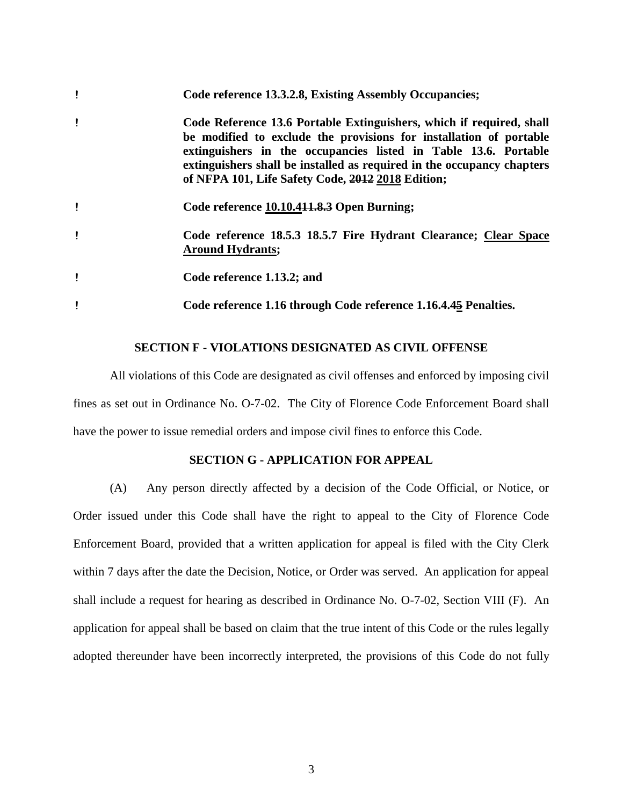| i | Code reference 13.3.2.8, Existing Assembly Occupancies;                                                                                                                                                                                                                                                                                      |
|---|----------------------------------------------------------------------------------------------------------------------------------------------------------------------------------------------------------------------------------------------------------------------------------------------------------------------------------------------|
| i | Code Reference 13.6 Portable Extinguishers, which if required, shall<br>be modified to exclude the provisions for installation of portable<br>extinguishers in the occupancies listed in Table 13.6. Portable<br>extinguishers shall be installed as required in the occupancy chapters<br>of NFPA 101, Life Safety Code, 2012 2018 Edition; |
| Ţ | Code reference 10.10.4 <del>11.8.3</del> Open Burning;                                                                                                                                                                                                                                                                                       |
| ï | Code reference 18.5.3 18.5.7 Fire Hydrant Clearance; Clear Space<br><b>Around Hydrants;</b>                                                                                                                                                                                                                                                  |
| Ţ | Code reference 1.13.2; and                                                                                                                                                                                                                                                                                                                   |
| Ţ | Code reference 1.16 through Code reference 1.16.4.45 Penalties.                                                                                                                                                                                                                                                                              |

### **SECTION F - VIOLATIONS DESIGNATED AS CIVIL OFFENSE**

All violations of this Code are designated as civil offenses and enforced by imposing civil fines as set out in Ordinance No. O-7-02. The City of Florence Code Enforcement Board shall have the power to issue remedial orders and impose civil fines to enforce this Code.

### **SECTION G - APPLICATION FOR APPEAL**

(A) Any person directly affected by a decision of the Code Official, or Notice, or Order issued under this Code shall have the right to appeal to the City of Florence Code Enforcement Board, provided that a written application for appeal is filed with the City Clerk within 7 days after the date the Decision, Notice, or Order was served. An application for appeal shall include a request for hearing as described in Ordinance No. O-7-02, Section VIII (F). An application for appeal shall be based on claim that the true intent of this Code or the rules legally adopted thereunder have been incorrectly interpreted, the provisions of this Code do not fully